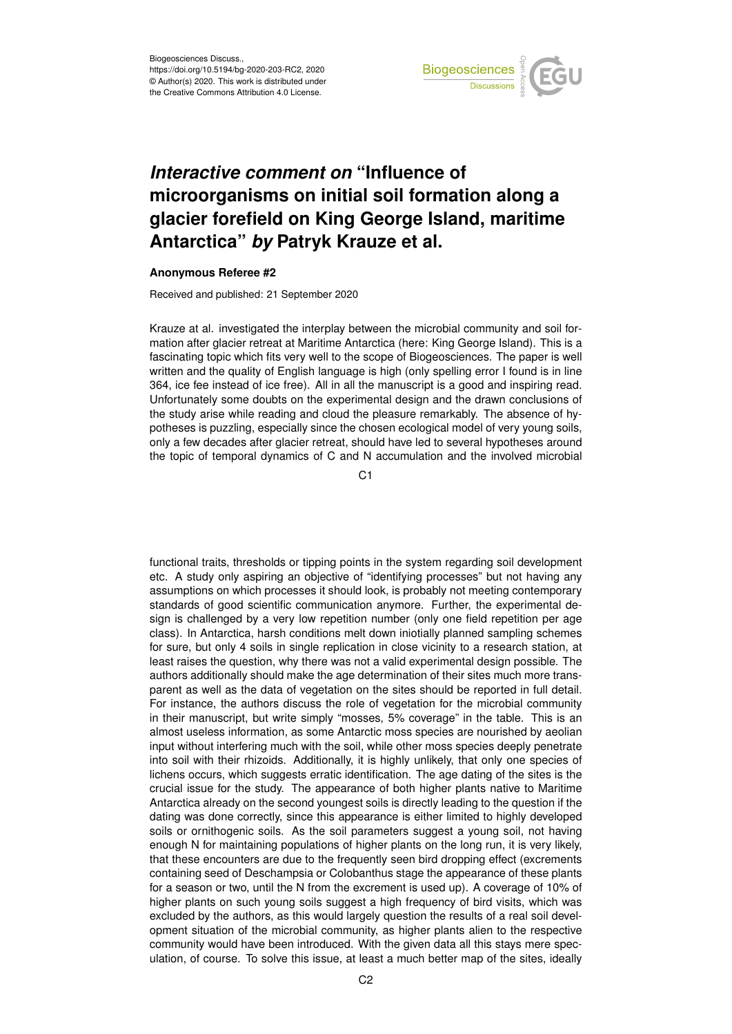

## *Interactive comment on* **"Influence of microorganisms on initial soil formation along a glacier forefield on King George Island, maritime Antarctica"** *by* **Patryk Krauze et al.**

## **Anonymous Referee #2**

Received and published: 21 September 2020

Krauze at al. investigated the interplay between the microbial community and soil formation after glacier retreat at Maritime Antarctica (here: King George Island). This is a fascinating topic which fits very well to the scope of Biogeosciences. The paper is well written and the quality of English language is high (only spelling error I found is in line 364, ice fee instead of ice free). All in all the manuscript is a good and inspiring read. Unfortunately some doubts on the experimental design and the drawn conclusions of the study arise while reading and cloud the pleasure remarkably. The absence of hypotheses is puzzling, especially since the chosen ecological model of very young soils, only a few decades after glacier retreat, should have led to several hypotheses around the topic of temporal dynamics of C and N accumulation and the involved microbial

C1

functional traits, thresholds or tipping points in the system regarding soil development etc. A study only aspiring an objective of "identifying processes" but not having any assumptions on which processes it should look, is probably not meeting contemporary standards of good scientific communication anymore. Further, the experimental design is challenged by a very low repetition number (only one field repetition per age class). In Antarctica, harsh conditions melt down iniotially planned sampling schemes for sure, but only 4 soils in single replication in close vicinity to a research station, at least raises the question, why there was not a valid experimental design possible. The authors additionally should make the age determination of their sites much more transparent as well as the data of vegetation on the sites should be reported in full detail. For instance, the authors discuss the role of vegetation for the microbial community in their manuscript, but write simply "mosses, 5% coverage" in the table. This is an almost useless information, as some Antarctic moss species are nourished by aeolian input without interfering much with the soil, while other moss species deeply penetrate into soil with their rhizoids. Additionally, it is highly unlikely, that only one species of lichens occurs, which suggests erratic identification. The age dating of the sites is the crucial issue for the study. The appearance of both higher plants native to Maritime Antarctica already on the second youngest soils is directly leading to the question if the dating was done correctly, since this appearance is either limited to highly developed soils or ornithogenic soils. As the soil parameters suggest a young soil, not having enough N for maintaining populations of higher plants on the long run, it is very likely, that these encounters are due to the frequently seen bird dropping effect (excrements containing seed of Deschampsia or Colobanthus stage the appearance of these plants for a season or two, until the N from the excrement is used up). A coverage of 10% of higher plants on such young soils suggest a high frequency of bird visits, which was excluded by the authors, as this would largely question the results of a real soil development situation of the microbial community, as higher plants alien to the respective community would have been introduced. With the given data all this stays mere speculation, of course. To solve this issue, at least a much better map of the sites, ideally